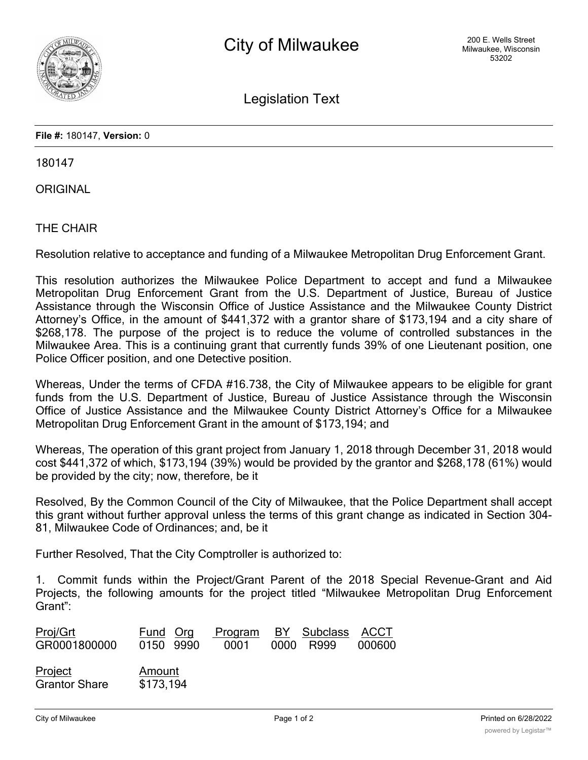

Legislation Text

**File #:** 180147, **Version:** 0

180147

**ORIGINAL** 

THE CHAIR

Resolution relative to acceptance and funding of a Milwaukee Metropolitan Drug Enforcement Grant.

This resolution authorizes the Milwaukee Police Department to accept and fund a Milwaukee Metropolitan Drug Enforcement Grant from the U.S. Department of Justice, Bureau of Justice Assistance through the Wisconsin Office of Justice Assistance and the Milwaukee County District Attorney's Office, in the amount of \$441,372 with a grantor share of \$173,194 and a city share of \$268,178. The purpose of the project is to reduce the volume of controlled substances in the Milwaukee Area. This is a continuing grant that currently funds 39% of one Lieutenant position, one Police Officer position, and one Detective position.

Whereas, Under the terms of CFDA #16.738, the City of Milwaukee appears to be eligible for grant funds from the U.S. Department of Justice, Bureau of Justice Assistance through the Wisconsin Office of Justice Assistance and the Milwaukee County District Attorney's Office for a Milwaukee Metropolitan Drug Enforcement Grant in the amount of \$173,194; and

Whereas, The operation of this grant project from January 1, 2018 through December 31, 2018 would cost \$441,372 of which, \$173,194 (39%) would be provided by the grantor and \$268,178 (61%) would be provided by the city; now, therefore, be it

Resolved, By the Common Council of the City of Milwaukee, that the Police Department shall accept this grant without further approval unless the terms of this grant change as indicated in Section 304- 81, Milwaukee Code of Ordinances; and, be it

Further Resolved, That the City Comptroller is authorized to:

1. Commit funds within the Project/Grant Parent of the 2018 Special Revenue-Grant and Aid Projects, the following amounts for the project titled "Milwaukee Metropolitan Drug Enforcement Grant":

| Proj/Grt<br>GR0001800000        | Fund Org<br>0150 9990 | Program<br>0001 | BY Subclass ACCT<br>0000 R999 | 000600 |
|---------------------------------|-----------------------|-----------------|-------------------------------|--------|
| Project<br><b>Grantor Share</b> | Amount<br>\$173,194   |                 |                               |        |